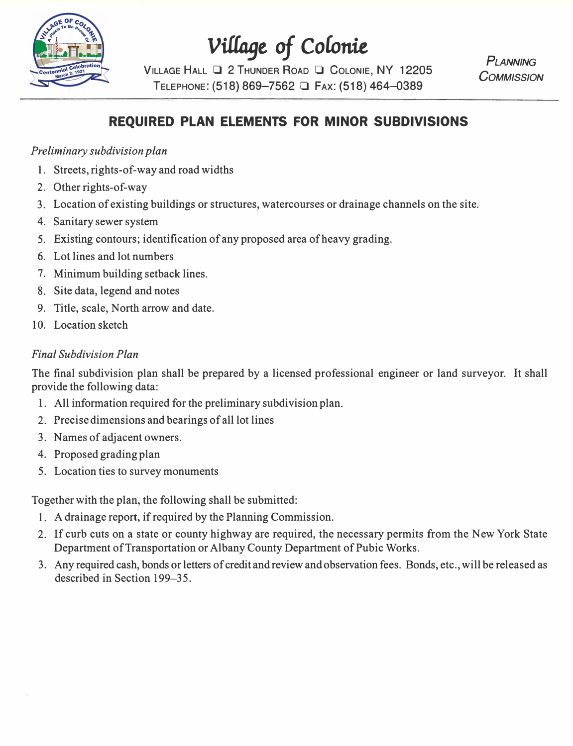

*Village of Colonie* 

VILLAGE HALL O 2 THUNDER ROAD **O** COLONIE, **NY 12205**  TELEPHONE: **(518) 869-7562 0** FAX: **(518) 464--0389** 

*PLANNING COMMISSION* 

# **REQUIRED PLAN ELEMENTS FOR MINOR SUBDIVISIONS**

### *Preliminary subdivision plan*

- 1. Streets, rights-of-way and road widths
- 2. Other rights-of-way
- 3. Location of existing buildings or structures, watercourses or drainage channels on the site.
- 4. Sanitary sewer system
- 5. Existing contours; identification of any proposed area of heavy grading.
- 6. Lot lines and lot numbers
- 7. Minimum building setback lines.
- 8. Site data, legend and notes
- 9. Title, scale, North arrow and date.
- 10 Location sketch

#### *Final Subdivision Plan*

The final subdivision plan shall be prepared by a licensed professional engineer or land surveyor. It shall provide the following data:

- 1. All information required for the preliminary subdivision plan.
- 2. Precise dimensions and bearings of all lot lines
- 3. Names of adjacent owners.
- 4. Proposed grading plan
- 5. Location ties to survey monuments

Together with the plan, the following shall be submitted:

- 1. A drainage report, if required by the Planning Commission.
- 2. If curb cuts on a state or county highway are required, the necessary permits from the New York State Department of Transportation or Albany County Department of Pubic Works.
- 3. Any required cash, bonds or letters of credit and review and observation fees. Bonds, etc., will be released as described in Section 199–35.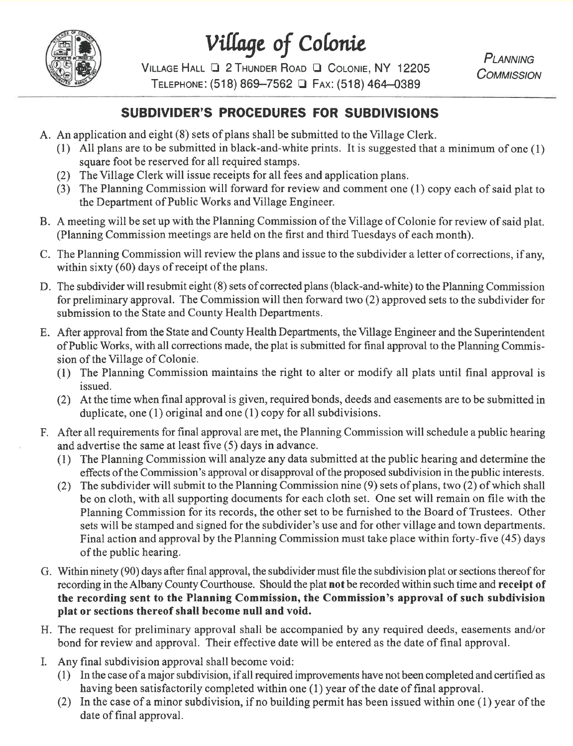

Village of Colonie

VILLAGE HALL Q 2 THUNDER ROAD Q COLONIE, NY 12205 TELEPHONE: (518) 869-7562 + FAX: (518) 464-0389

**PI ANNING** COMMISSION

### SUBDIVIDER'S PROCEDURES FOR SUBDIVISIONS

- A. An application and eight (8) sets of plans shall be submitted to the Village Clerk.
	- (1) All plans are to be submitted in black-and-white prints. It is suggested that a minimum of one (1) square foot be reserved for all required stamps.
	- (2) The Village Clerk will issue receipts for all fees and application plans.
	- (3) The Planning Commission will forward for review and comment one (1) copy each of said plat to the Department of Public Works and Village Engineer.
- B. A meeting will be set up with the Planning Commission of the Village of Colonie for review of said plat. (Planning Commission meetings are held on the first and third Tuesdays of each month).
- C. The Planning Commission will review the plans and issue to the subdivider a letter of corrections, if any, within sixty (60) days of receipt of the plans.
- D. The subdivider will resubmit eight (8) sets of corrected plans (black-and-white) to the Planning Commission for preliminary approval. The Commission will then forward two (2) approved sets to the subdivider for submission to the State and County Health Departments.
- E. After approval from the State and County Health Departments, the Village Engineer and the Superintendent of Public Works, with all corrections made, the plat is submitted for final approval to the Planning Commission of the Village of Colonie.
	- (1) The Planning Commission maintains the right to alter or modify all plats until final approval is issued.
	- (2) At the time when final approval is given, required bonds, deeds and easements are to be submitted in duplicate, one  $(1)$  original and one  $(1)$  copy for all subdivisions.
- F. After all requirements for final approval are met, the Planning Commission will schedule a public hearing and advertise the same at least five (5) days in advance.
	- (1) The Planning Commission will analyze any data submitted at the public hearing and determine the effects of the Commission's approval or disapproval of the proposed subdivision in the public interests.
	- (2) The subdivider will submit to the Planning Commission nine (9) sets of plans, two (2) of which shall be on cloth, with all supporting documents for each cloth set. One set will remain on file with the Planning Commission for its records, the other set to be furnished to the Board of Trustees. Other sets will be stamped and signed for the subdivider's use and for other village and town departments. Final action and approval by the Planning Commission must take place within forty-five (45) days of the public hearing.
- G. Within ninety (90) days after final approval, the subdivider must file the subdivision plat or sections thereof for recording in the Albany County Courthouse. Should the plat not be recorded within such time and receipt of the recording sent to the Planning Commission, the Commission's approval of such subdivision plat or sections thereof shall become null and void.
- H. The request for preliminary approval shall be accompanied by any required deeds, easements and/or bond for review and approval. Their effective date will be entered as the date of final approval.
- I. Any final subdivision approval shall become void:
	- (1) In the case of a major subdivision, if all required improvements have not been completed and certified as having been satisfactorily completed within one (1) year of the date of final approval.
	- (2) In the case of a minor subdivision, if no building permit has been issued within one (1) year of the date of final approval.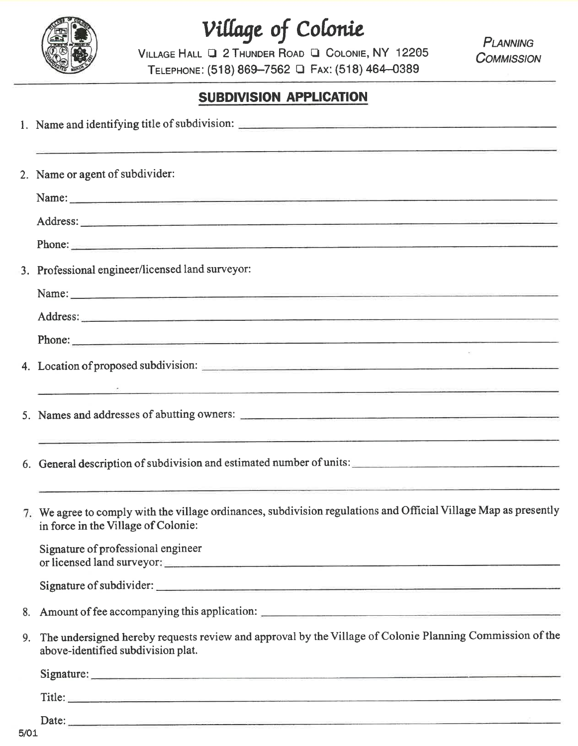

Village of Colonie

VILLAGE HALL Q 2 THUNDER ROAD Q COLONIE, NY 12205 TELEPHONE: (518) 869-7562 Q FAX: (518) 464-0389

**PLANNING COMMISSION** 

# **SUBDIVISION APPLICATION**

|    | 1. Name and identifying title of subdivision:                                                                                                                                                                                                                                    |
|----|----------------------------------------------------------------------------------------------------------------------------------------------------------------------------------------------------------------------------------------------------------------------------------|
|    | 2. Name or agent of subdivider:                                                                                                                                                                                                                                                  |
|    |                                                                                                                                                                                                                                                                                  |
|    |                                                                                                                                                                                                                                                                                  |
|    | Phone:                                                                                                                                                                                                                                                                           |
|    | 3. Professional engineer/licensed land surveyor:                                                                                                                                                                                                                                 |
|    |                                                                                                                                                                                                                                                                                  |
|    | Address:                                                                                                                                                                                                                                                                         |
|    |                                                                                                                                                                                                                                                                                  |
|    |                                                                                                                                                                                                                                                                                  |
|    |                                                                                                                                                                                                                                                                                  |
|    |                                                                                                                                                                                                                                                                                  |
|    | 6. General description of subdivision and estimated number of units:                                                                                                                                                                                                             |
|    | <u> 1989 - John Harry Harry Harry Harry Harry Harry Harry Harry Harry Harry Harry Harry Harry Harry Harry Harry H</u><br>7. We agree to comply with the village ordinances, subdivision regulations and Official Village Map as presently<br>in force in the Village of Colonie: |
|    | Signature of professional engineer                                                                                                                                                                                                                                               |
|    | Signature of subdivider:                                                                                                                                                                                                                                                         |
| 8. |                                                                                                                                                                                                                                                                                  |
| 9. | The undersigned hereby requests review and approval by the Village of Colonie Planning Commission of the<br>above-identified subdivision plat.                                                                                                                                   |
|    |                                                                                                                                                                                                                                                                                  |
|    | Title:                                                                                                                                                                                                                                                                           |
|    | Date:                                                                                                                                                                                                                                                                            |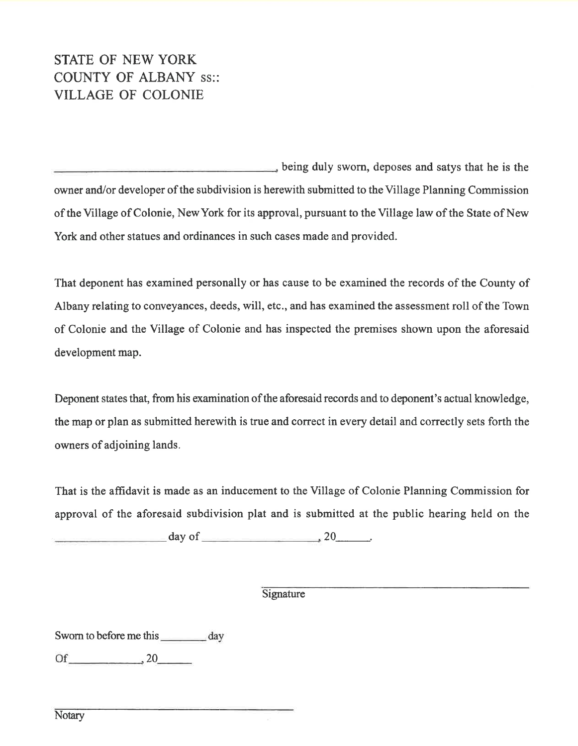## **STATE OF NEW YORK COUNTY OF ALBANY SS:: VILLAGE OF COLONIE**

being duly sworn, deposes and satys that he is the owner and/or developer of the subdivision is herewith submitted to the Village Planning Commission of the Village of Colonie, New York for its approval, pursuant to the Village law of the State of New York and other statues and ordinances in such cases made and provided.

That deponent has examined personally or has cause to be examined the records of the County of Albany relating to conveyances, deeds, will, etc., and has examined the assessment roll of the Town of Colonie and the Village of Colonie and has inspected the premises shown upon the aforesaid development map.

Deponent states that, from his examination of the aforesaid records and to deponent's actual knowledge, the map or plan as submitted herewith is true and correct in every detail and correctly sets forth the owners of adjoining lands.

That is the affidavit is made as an inducement to the Village of Colonie Planning Commission for approval of the aforesaid subdivision plat and is submitted at the public hearing held on the

 $day \text{ of }$   $20$ 

Signature

Sworn to before me this \_\_\_\_\_\_\_\_\_ day

 $Of$  20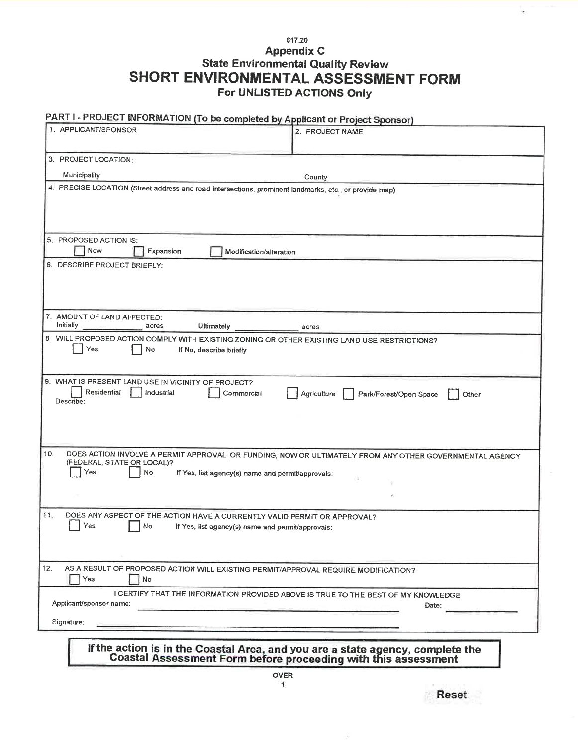#### 617.20 **Appendix C State Environmental Quality Review** SHORT ENVIRONMENTAL ASSESSMENT FORM For UNLISTED ACTIONS Only

### PART I - PROJECT INFORMATION (To be completed by Applicant or Project Sponsor)

| 3. PROJECT LOCATION:                                                                                                                       |                                                                                                         |  |  |
|--------------------------------------------------------------------------------------------------------------------------------------------|---------------------------------------------------------------------------------------------------------|--|--|
|                                                                                                                                            |                                                                                                         |  |  |
|                                                                                                                                            |                                                                                                         |  |  |
| Municipality                                                                                                                               | County                                                                                                  |  |  |
| 4. PRECISE LOCATION (Street address and road intersections, prominent landmarks, etc., or provide map)                                     |                                                                                                         |  |  |
|                                                                                                                                            |                                                                                                         |  |  |
|                                                                                                                                            |                                                                                                         |  |  |
| 5. PROPOSED ACTION IS:<br>New<br>Expansion<br>Modification/alteration                                                                      |                                                                                                         |  |  |
| 6. DESCRIBE PROJECT BRIEFLY:                                                                                                               |                                                                                                         |  |  |
|                                                                                                                                            |                                                                                                         |  |  |
|                                                                                                                                            |                                                                                                         |  |  |
|                                                                                                                                            |                                                                                                         |  |  |
| 7. AMOUNT OF LAND AFFECTED:<br>Initially<br>Ultimately<br>acres                                                                            | acres                                                                                                   |  |  |
| 8. WILL PROPOSED ACTION COMPLY WITH EXISTING ZONING OR OTHER EXISTING LAND USE RESTRICTIONS?                                               |                                                                                                         |  |  |
| Yes<br>No<br>If No, describe briefly                                                                                                       |                                                                                                         |  |  |
|                                                                                                                                            |                                                                                                         |  |  |
| 9. WHAT IS PRESENT LAND USE IN VICINITY OF PROJECT?                                                                                        |                                                                                                         |  |  |
| Residential<br>Industrial<br>Commercial                                                                                                    | Park/Forest/Open Space<br>Agriculture<br>Other                                                          |  |  |
| Describe:                                                                                                                                  |                                                                                                         |  |  |
|                                                                                                                                            |                                                                                                         |  |  |
|                                                                                                                                            |                                                                                                         |  |  |
| 10.                                                                                                                                        | DOES ACTION INVOLVE A PERMIT APPROVAL, OR FUNDING, NOW OR ULTIMATELY FROM ANY OTHER GOVERNMENTAL AGENCY |  |  |
| (FEDERAL, STATE OR LOCAL)?<br>Yes<br>No                                                                                                    |                                                                                                         |  |  |
| If Yes, list agency(s) name and permit/approvals:                                                                                          |                                                                                                         |  |  |
|                                                                                                                                            | è.                                                                                                      |  |  |
| $11 -$                                                                                                                                     |                                                                                                         |  |  |
| DOES ANY ASPECT OF THE ACTION HAVE A CURRENTLY VALID PERMIT OR APPROVAL?<br>Yes<br>No<br>If Yes, list agency(s) name and permit/approvals: |                                                                                                         |  |  |
|                                                                                                                                            |                                                                                                         |  |  |
|                                                                                                                                            |                                                                                                         |  |  |
| AS A RESULT OF PROPOSED ACTION WILL EXISTING PERMIT/APPROVAL REQUIRE MODIFICATION?                                                         |                                                                                                         |  |  |
| Yes<br>No                                                                                                                                  |                                                                                                         |  |  |
|                                                                                                                                            | I CERTIFY THAT THE INFORMATION PROVIDED ABOVE IS TRUE TO THE BEST OF MY KNOWLEDGE                       |  |  |
| Applicant/sponsor name:                                                                                                                    | Date:                                                                                                   |  |  |
| Signature:                                                                                                                                 |                                                                                                         |  |  |
|                                                                                                                                            | If the action is in the Coastal Area, and you are a state agency, complete the                          |  |  |

Coastal Assessment Form before proceeding with this assessment

**OVER**  $\mathbf{1}$ 

J.

 $\alpha$